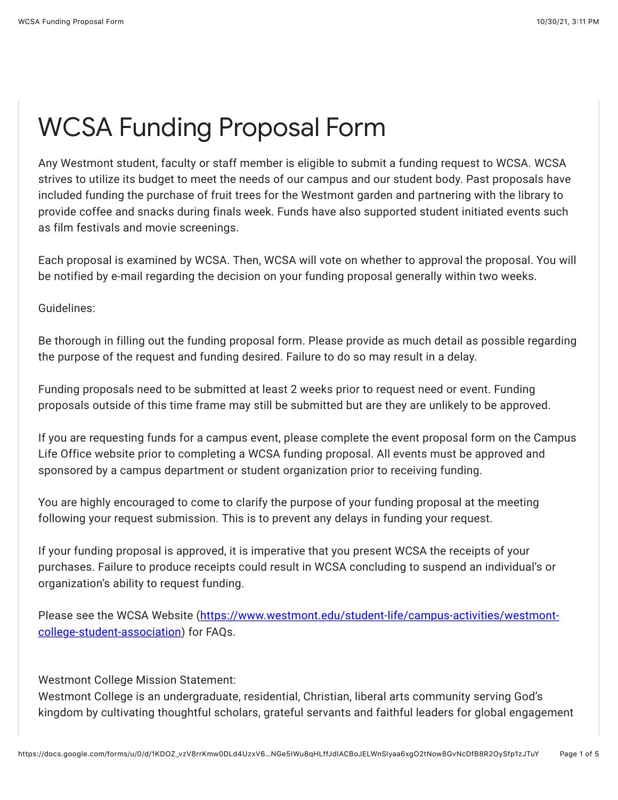## WCSA Funding Proposal Form

Any Westmont student, faculty or staff member is eligible to submit a funding request to WCSA. WCSA strives to utilize its budget to meet the needs of our campus and our student body. Past proposals have included funding the purchase of fruit trees for the Westmont garden and partnering with the library to provide coffee and snacks during finals week. Funds have also supported student initiated events such as film festivals and movie screenings.

Each proposal is examined by WCSA. Then, WCSA will vote on whether to approval the proposal. You will be notified by e-mail regarding the decision on your funding proposal generally within two weeks.

Guidelines:

Be thorough in filling out the funding proposal form. Please provide as much detail as possible regarding the purpose of the request and funding desired. Failure to do so may result in a delay.

Funding proposals need to be submitted at least 2 weeks prior to request need or event. Funding proposals outside of this time frame may still be submitted but are they are unlikely to be approved.

If you are requesting funds for a campus event, please complete the event proposal form on the Campus Life Office website prior to completing a WCSA funding proposal. All events must be approved and sponsored by a campus department or student organization prior to receiving funding.

You are highly encouraged to come to clarify the purpose of your funding proposal at the meeting following your request submission. This is to prevent any delays in funding your request.

If your funding proposal is approved, it is imperative that you present WCSA the receipts of your purchases. Failure to produce receipts could result in WCSA concluding to suspend an individual's or organization's ability to request funding.

[Please see the WCSA Website \(https://www.westmont.edu/student-life/campus-activities/westmont](https://www.google.com/url?q=https://www.westmont.edu/student-life/campus-activities/westmont-college-student-association&sa=D&source=editors&ust=1635635480143000&usg=AOvVaw3HXVhaHtf9YXvRDGQcaQcA)college-student-association) for FAQs.

Westmont College Mission Statement:

Westmont College is an undergraduate, residential, Christian, liberal arts community serving God's kingdom by cultivating thoughtful scholars, grateful servants and faithful leaders for global engagement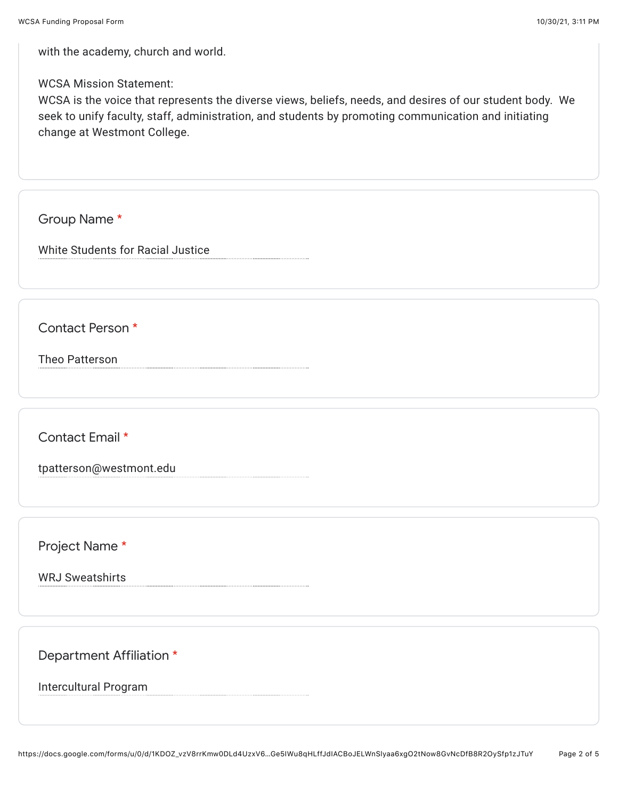with the academy, church and world.

WCSA Mission Statement:

WCSA is the voice that represents the diverse views, beliefs, needs, and desires of our student body. We seek to unify faculty, staff, administration, and students by promoting communication and initiating change at Westmont College.

Group Name \*

White Students for Racial Justice

Contact Person \*

Theo Patterson

Contact Email \*

tpatterson@westmont.edu

Project Name \*

WRJ Sweatshirts

Department Affiliation \*

Intercultural Program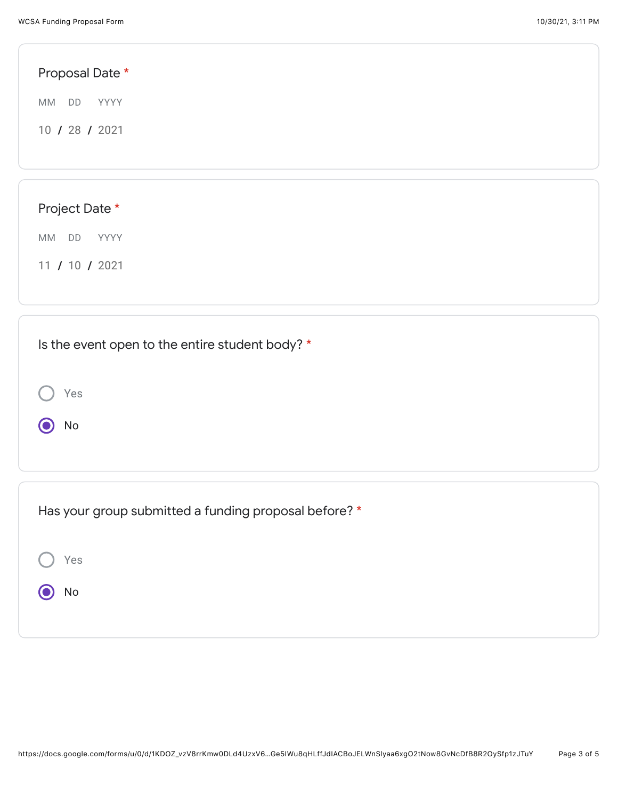Yes

 $\odot$  No

| Proposal Date *                                 |  |  |
|-------------------------------------------------|--|--|
| <b>MM</b><br>DD<br>YYYY                         |  |  |
| 10 / 28 / 2021                                  |  |  |
|                                                 |  |  |
|                                                 |  |  |
| Project Date *                                  |  |  |
| MM DD<br>YYYY                                   |  |  |
| 11 / 10 / 2021                                  |  |  |
|                                                 |  |  |
|                                                 |  |  |
| Is the event open to the entire student body? * |  |  |

| Has your group submitted a funding proposal before? * |
|-------------------------------------------------------|
| Yes                                                   |
| No                                                    |
|                                                       |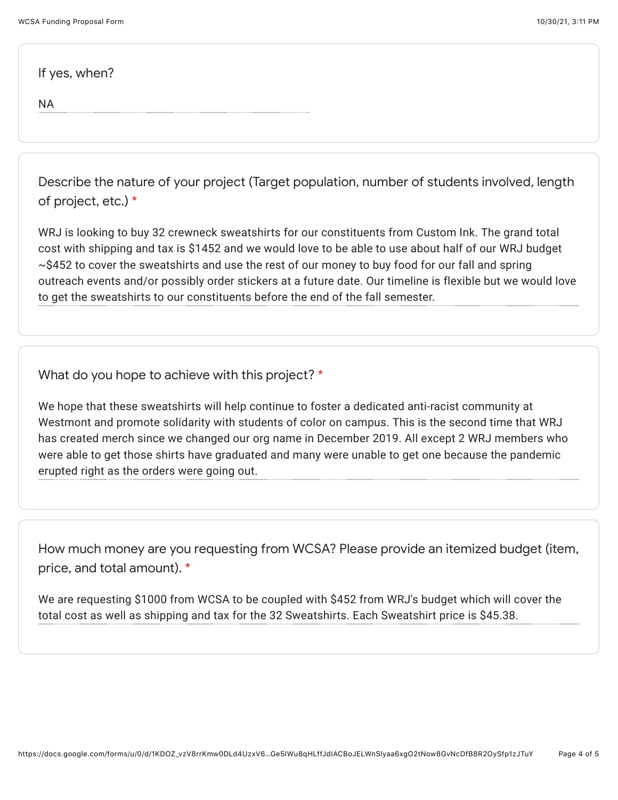If yes, when?

NA

Describe the nature of your project (Target population, number of students involved, length of project, etc.) \*

WRJ is looking to buy 32 crewneck sweatshirts for our constituents from Custom Ink. The grand total cost with shipping and tax is \$1452 and we would love to be able to use about half of our WRJ budget ~\$452 to cover the sweatshirts and use the rest of our money to buy food for our fall and spring outreach events and/or possibly order stickers at a future date. Our timeline is flexible but we would love to get the sweatshirts to our constituents before the end of the fall semester.

What do you hope to achieve with this project? \*

We hope that these sweatshirts will help continue to foster a dedicated anti-racist community at Westmont and promote solidarity with students of color on campus. This is the second time that WRJ has created merch since we changed our org name in December 2019. All except 2 WRJ members who were able to get those shirts have graduated and many were unable to get one because the pandemic erupted right as the orders were going out.

How much money are you requesting from WCSA? Please provide an itemized budget (item, price, and total amount). \*

We are requesting \$1000 from WCSA to be coupled with \$452 from WRJ's budget which will cover the total cost as well as shipping and tax for the 32 Sweatshirts. Each Sweatshirt price is \$45.38.